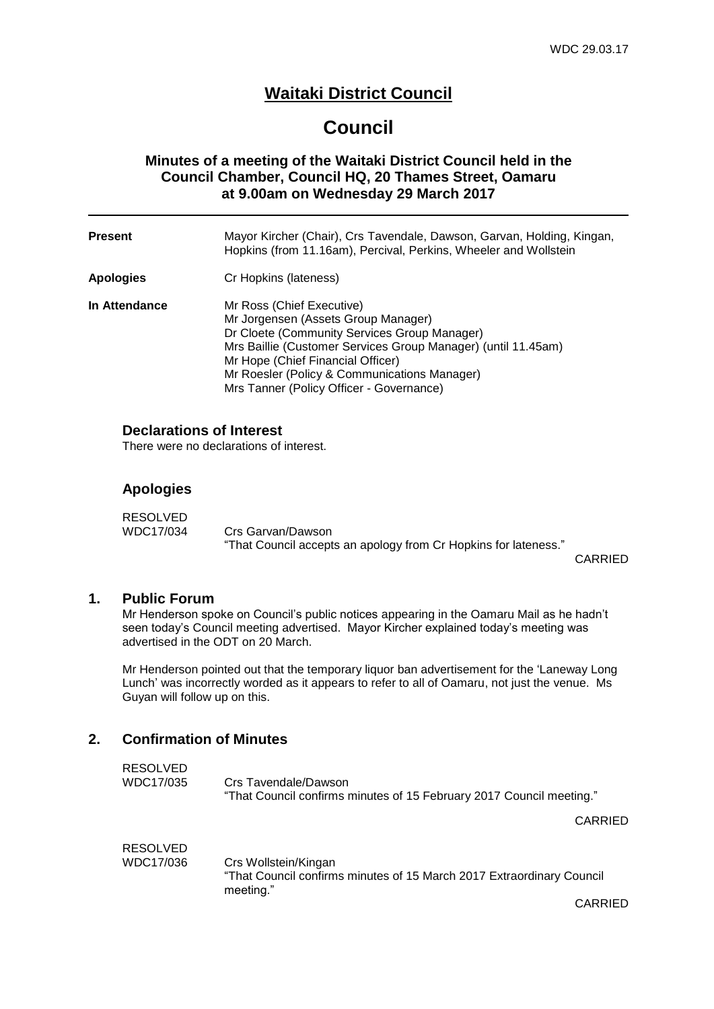## **Waitaki District Council**

# **Council**

## **Minutes of a meeting of the Waitaki District Council held in the Council Chamber, Council HQ, 20 Thames Street, Oamaru at 9.00am on Wednesday 29 March 2017**

| <b>Present</b> | Mayor Kircher (Chair), Crs Tavendale, Dawson, Garvan, Holding, Kingan,<br>Hopkins (from 11.16am), Percival, Perkins, Wheeler and Wollstein                                                                                                                                                                         |
|----------------|--------------------------------------------------------------------------------------------------------------------------------------------------------------------------------------------------------------------------------------------------------------------------------------------------------------------|
| Apologies      | Cr Hopkins (lateness)                                                                                                                                                                                                                                                                                              |
| In Attendance  | Mr Ross (Chief Executive)<br>Mr Jorgensen (Assets Group Manager)<br>Dr Cloete (Community Services Group Manager)<br>Mrs Baillie (Customer Services Group Manager) (until 11.45am)<br>Mr Hope (Chief Financial Officer)<br>Mr Roesler (Policy & Communications Manager)<br>Mrs Tanner (Policy Officer - Governance) |

### **Declarations of Interest**

There were no declarations of interest.

### **Apologies**

| <b>RESOLVED</b> |                                                                 |  |
|-----------------|-----------------------------------------------------------------|--|
| WDC17/034       | Crs Garvan/Dawson                                               |  |
|                 | "That Council accepts an apology from Cr Hopkins for lateness." |  |

CARRIED

### **1. Public Forum**

Mr Henderson spoke on Council's public notices appearing in the Oamaru Mail as he hadn't seen today's Council meeting advertised. Mayor Kircher explained today's meeting was advertised in the ODT on 20 March.

Mr Henderson pointed out that the temporary liquor ban advertisement for the 'Laneway Long Lunch' was incorrectly worded as it appears to refer to all of Oamaru, not just the venue. Ms Guyan will follow up on this.

## **2. Confirmation of Minutes**

| <b>RESOLVED</b><br>WDC17/035 | Crs Tavendale/Dawson<br>"That Council confirms minutes of 15 February 2017 Council meeting."               |
|------------------------------|------------------------------------------------------------------------------------------------------------|
|                              | CARRIED                                                                                                    |
| <b>RESOLVED</b><br>WDC17/036 | Crs Wollstein/Kingan<br>"That Council confirms minutes of 15 March 2017 Extraordinary Council<br>meeting." |
|                              | CARRIED                                                                                                    |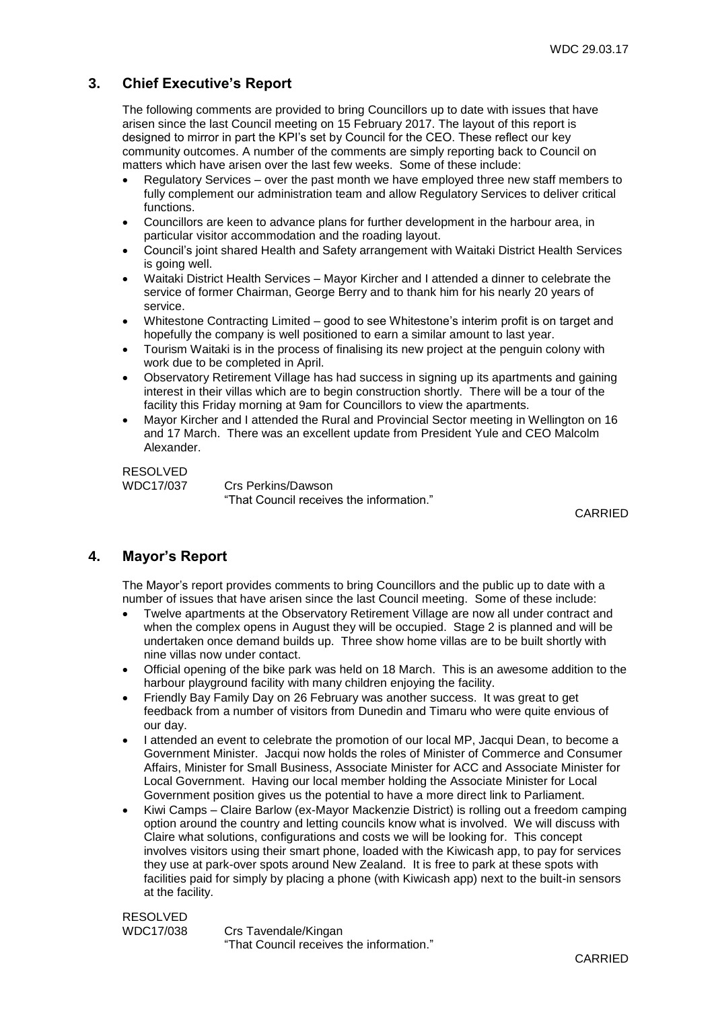## **3. Chief Executive's Report**

The following comments are provided to bring Councillors up to date with issues that have arisen since the last Council meeting on 15 February 2017. The layout of this report is designed to mirror in part the KPI's set by Council for the CEO. These reflect our key community outcomes. A number of the comments are simply reporting back to Council on matters which have arisen over the last few weeks. Some of these include:

- Regulatory Services over the past month we have employed three new staff members to fully complement our administration team and allow Regulatory Services to deliver critical functions.
- Councillors are keen to advance plans for further development in the harbour area, in particular visitor accommodation and the roading layout.
- Council's joint shared Health and Safety arrangement with Waitaki District Health Services is going well.
- Waitaki District Health Services Mayor Kircher and I attended a dinner to celebrate the service of former Chairman, George Berry and to thank him for his nearly 20 years of service.
- Whitestone Contracting Limited good to see Whitestone's interim profit is on target and hopefully the company is well positioned to earn a similar amount to last year.
- Tourism Waitaki is in the process of finalising its new project at the penguin colony with work due to be completed in April.
- Observatory Retirement Village has had success in signing up its apartments and gaining interest in their villas which are to begin construction shortly. There will be a tour of the facility this Friday morning at 9am for Councillors to view the apartments.
- Mayor Kircher and I attended the Rural and Provincial Sector meeting in Wellington on 16 and 17 March. There was an excellent update from President Yule and CEO Malcolm Alexander.

RESOLVED

WDC17/037 Crs Perkins/Dawson "That Council receives the information."

CARRIED

## **4. Mayor's Report**

The Mayor's report provides comments to bring Councillors and the public up to date with a number of issues that have arisen since the last Council meeting. Some of these include:

- Twelve apartments at the Observatory Retirement Village are now all under contract and when the complex opens in August they will be occupied. Stage 2 is planned and will be undertaken once demand builds up. Three show home villas are to be built shortly with nine villas now under contact.
- Official opening of the bike park was held on 18 March. This is an awesome addition to the harbour playground facility with many children enjoying the facility.
- Friendly Bay Family Day on 26 February was another success. It was great to get feedback from a number of visitors from Dunedin and Timaru who were quite envious of our day.
- I attended an event to celebrate the promotion of our local MP, Jacqui Dean, to become a Government Minister. Jacqui now holds the roles of Minister of Commerce and Consumer Affairs, Minister for Small Business, Associate Minister for ACC and Associate Minister for Local Government. Having our local member holding the Associate Minister for Local Government position gives us the potential to have a more direct link to Parliament.
- Kiwi Camps Claire Barlow (ex-Mayor Mackenzie District) is rolling out a freedom camping option around the country and letting councils know what is involved. We will discuss with Claire what solutions, configurations and costs we will be looking for. This concept involves visitors using their smart phone, loaded with the Kiwicash app, to pay for services they use at park-over spots around New Zealand. It is free to park at these spots with facilities paid for simply by placing a phone (with Kiwicash app) next to the built-in sensors at the facility.

RESOLVED WDC17/038 Crs Tavendale/Kingan "That Council receives the information."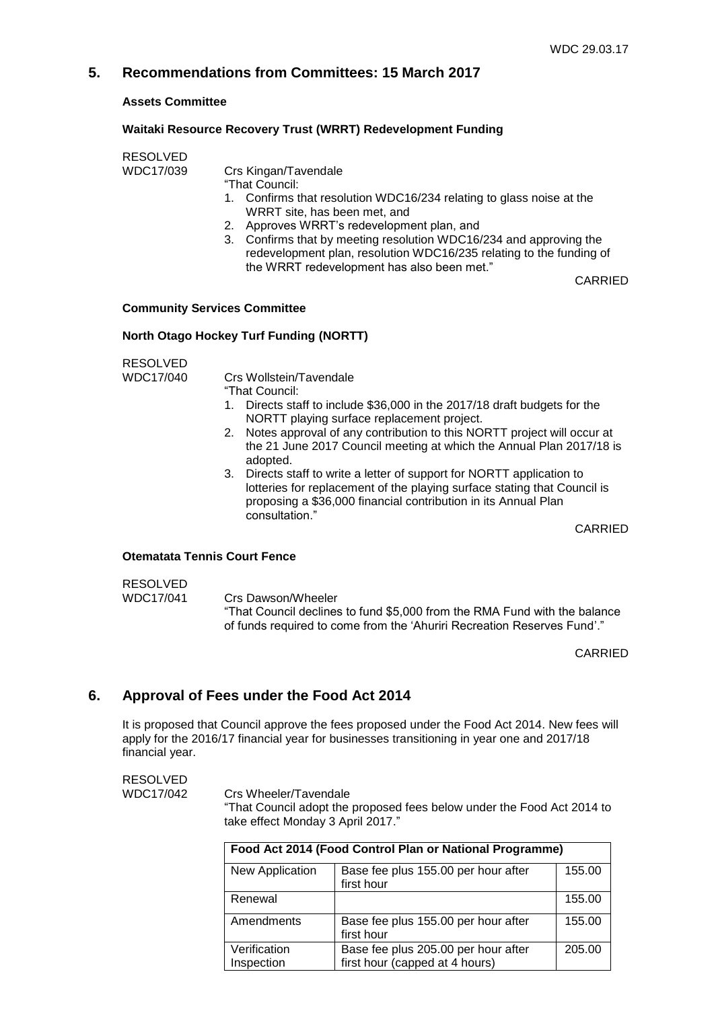## **5. Recommendations from Committees: 15 March 2017**

**Assets Committee**

#### **Waitaki Resource Recovery Trust (WRRT) Redevelopment Funding**

RESOLVED

WDC17/039 Crs Kingan/Tavendale

- "That Council:
- 1. Confirms that resolution WDC16/234 relating to glass noise at the WRRT site, has been met, and
- 2. Approves WRRT's redevelopment plan, and
- 3. Confirms that by meeting resolution WDC16/234 and approving the redevelopment plan, resolution WDC16/235 relating to the funding of the WRRT redevelopment has also been met."

CARRIED

#### **Community Services Committee**

#### **North Otago Hockey Turf Funding (NORTT)**

| RESOLVED  |                                                                                                                                                                                                                                        |
|-----------|----------------------------------------------------------------------------------------------------------------------------------------------------------------------------------------------------------------------------------------|
| WDC17/040 | Crs Wollstein/Tavendale                                                                                                                                                                                                                |
|           | "That Council:                                                                                                                                                                                                                         |
|           | 1. Directs staff to include \$36,000 in the 2017/18 draft budgets for the<br>NORTT playing surface replacement project.                                                                                                                |
|           | 2. Notes approval of any contribution to this NORTT project will occur at<br>the 21 June 2017 Council meeting at which the Annual Plan 2017/18 is<br>adopted.                                                                          |
|           | 3. Directs staff to write a letter of support for NORTT application to<br>lotteries for replacement of the playing surface stating that Council is<br>proposing a \$36,000 financial contribution in its Annual Plan<br>consultation." |
|           | <b>CARRIED</b>                                                                                                                                                                                                                         |
|           | Otematata Tennis Court Fence                                                                                                                                                                                                           |

#### **Otematata Tennis Court Fence**

#### RESOLVED WDC17/041 Crs Dawson/Wheeler "That Council declines to fund \$5,000 from the RMA Fund with the balance of funds required to come from the 'Ahuriri Recreation Reserves Fund'."

CARRIED

## **6. Approval of Fees under the Food Act 2014**

It is proposed that Council approve the fees proposed under the Food Act 2014. New fees will apply for the 2016/17 financial year for businesses transitioning in year one and 2017/18 financial year.

RESOLVED

WDC17/042 Crs Wheeler/Tavendale

"That Council adopt the proposed fees below under the Food Act 2014 to take effect Monday 3 April 2017."

| Food Act 2014 (Food Control Plan or National Programme) |                                                                       |        |  |
|---------------------------------------------------------|-----------------------------------------------------------------------|--------|--|
| New Application                                         | Base fee plus 155.00 per hour after<br>first hour                     | 155.00 |  |
| Renewal                                                 |                                                                       | 155.00 |  |
| Amendments                                              | Base fee plus 155.00 per hour after<br>first hour                     | 155.00 |  |
| Verification<br>Inspection                              | Base fee plus 205.00 per hour after<br>first hour (capped at 4 hours) | 205.00 |  |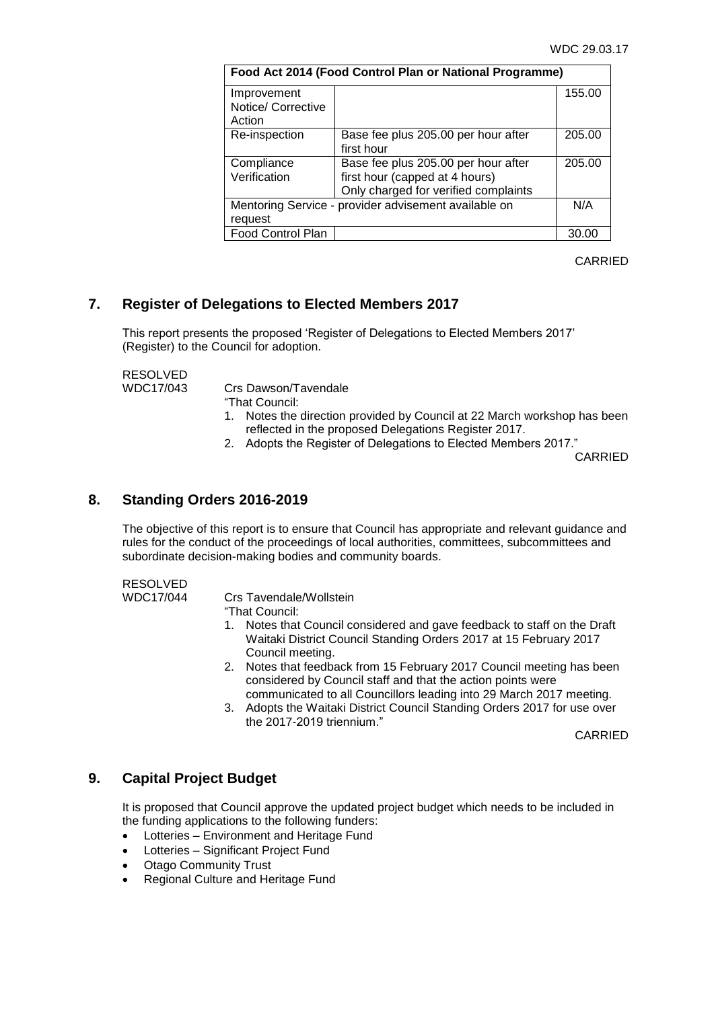| Food Act 2014 (Food Control Plan or National Programme) |                                      |        |  |
|---------------------------------------------------------|--------------------------------------|--------|--|
| Improvement                                             |                                      | 155.00 |  |
| Notice/ Corrective                                      |                                      |        |  |
| Action                                                  |                                      |        |  |
| Re-inspection                                           | Base fee plus 205.00 per hour after  | 205.00 |  |
|                                                         | first hour                           |        |  |
| Compliance                                              | Base fee plus 205.00 per hour after  | 205.00 |  |
| Verification                                            | first hour (capped at 4 hours)       |        |  |
|                                                         | Only charged for verified complaints |        |  |
| Mentoring Service - provider advisement available on    |                                      |        |  |
| request                                                 |                                      |        |  |
| Food Control Plan                                       |                                      | 30.00  |  |

CARRIED

## **7. Register of Delegations to Elected Members 2017**

This report presents the proposed 'Register of Delegations to Elected Members 2017' (Register) to the Council for adoption.

RESOLVED<br>WDC17/043

Crs Dawson/Tavendale

"That Council:

- 1. Notes the direction provided by Council at 22 March workshop has been reflected in the proposed Delegations Register 2017.
- 2. Adopts the Register of Delegations to Elected Members 2017."

CARRIED

### **8. Standing Orders 2016-2019**

The objective of this report is to ensure that Council has appropriate and relevant guidance and rules for the conduct of the proceedings of local authorities, committees, subcommittees and subordinate decision-making bodies and community boards.

#### RESOLVED

WDC17/044 Crs Tavendale/Wollstein

"That Council:

- 1. Notes that Council considered and gave feedback to staff on the Draft Waitaki District Council Standing Orders 2017 at 15 February 2017 Council meeting.
- 2. Notes that feedback from 15 February 2017 Council meeting has been considered by Council staff and that the action points were communicated to all Councillors leading into 29 March 2017 meeting.
- 3. Adopts the Waitaki District Council Standing Orders 2017 for use over the 2017-2019 triennium."

CARRIED

## **9. Capital Project Budget**

It is proposed that Council approve the updated project budget which needs to be included in the funding applications to the following funders:

- Lotteries Environment and Heritage Fund
- Lotteries Significant Project Fund
- Otago Community Trust
- Regional Culture and Heritage Fund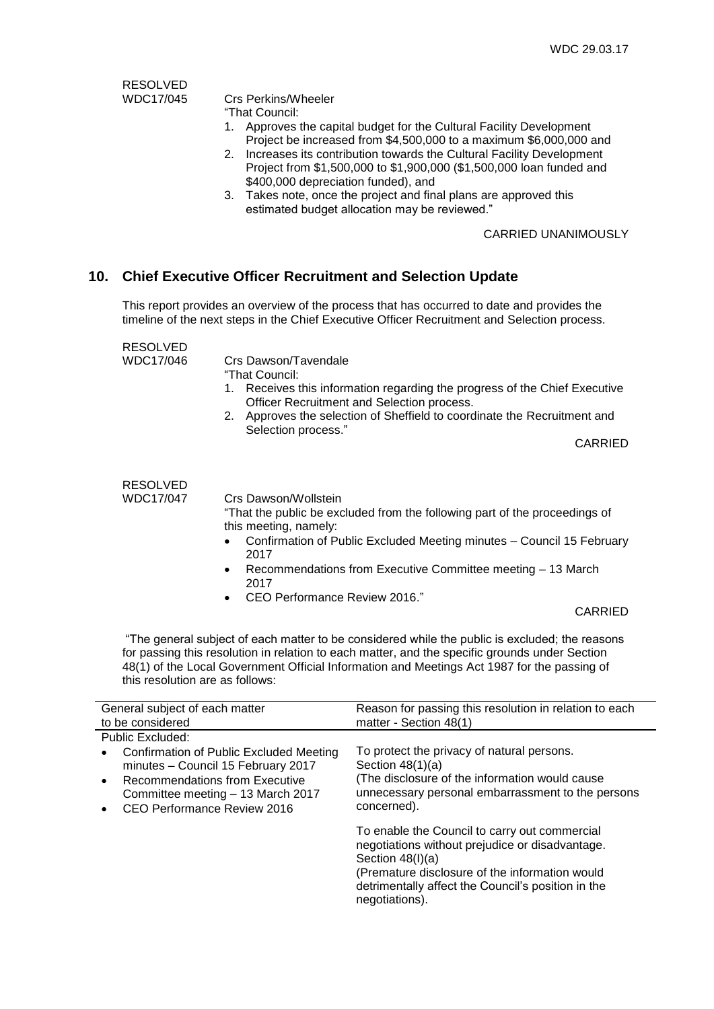RESOLVED<br>WDC17/045

## Crs Perkins/Wheeler

"That Council:

- 1. Approves the capital budget for the Cultural Facility Development Project be increased from \$4,500,000 to a maximum \$6,000,000 and
- 2. Increases its contribution towards the Cultural Facility Development Project from \$1,500,000 to \$1,900,000 (\$1,500,000 loan funded and \$400,000 depreciation funded), and
- 3. Takes note, once the project and final plans are approved this estimated budget allocation may be reviewed."

#### CARRIED UNANIMOUSLY

## **10. Chief Executive Officer Recruitment and Selection Update**

This report provides an overview of the process that has occurred to date and provides the timeline of the next steps in the Chief Executive Officer Recruitment and Selection process.

RESOLVED<br>WDC17/046

Crs Dawson/Tavendale

"That Council:

- 1. Receives this information regarding the progress of the Chief Executive Officer Recruitment and Selection process.
- 2. Approves the selection of Sheffield to coordinate the Recruitment and Selection process."

CARRIED

RESOLVED

WDC17/047 Crs Dawson/Wollstein

"That the public be excluded from the following part of the proceedings of this meeting, namely:

- Confirmation of Public Excluded Meeting minutes Council 15 February 2017
- Recommendations from Executive Committee meeting 13 March 2017
- CEO Performance Review 2016."

CARRIED

"The general subject of each matter to be considered while the public is excluded; the reasons for passing this resolution in relation to each matter, and the specific grounds under Section 48(1) of the Local Government Official Information and Meetings Act 1987 for the passing of this resolution are as follows:

| General subject of each matter                                                                                                                                                                                             | Reason for passing this resolution in relation to each                                                                                                                                                                                           |  |
|----------------------------------------------------------------------------------------------------------------------------------------------------------------------------------------------------------------------------|--------------------------------------------------------------------------------------------------------------------------------------------------------------------------------------------------------------------------------------------------|--|
| to be considered                                                                                                                                                                                                           | matter - Section 48(1)                                                                                                                                                                                                                           |  |
| Public Excluded:                                                                                                                                                                                                           |                                                                                                                                                                                                                                                  |  |
| Confirmation of Public Excluded Meeting<br>$\bullet$<br>minutes - Council 15 February 2017<br>Recommendations from Executive<br>$\bullet$<br>Committee meeting - 13 March 2017<br>CEO Performance Review 2016<br>$\bullet$ | To protect the privacy of natural persons.<br>Section $48(1)(a)$<br>(The disclosure of the information would cause)<br>unnecessary personal embarrassment to the persons<br>concerned).                                                          |  |
|                                                                                                                                                                                                                            | To enable the Council to carry out commercial<br>negotiations without prejudice or disadvantage.<br>Section $48(l)(a)$<br>(Premature disclosure of the information would<br>detrimentally affect the Council's position in the<br>negotiations). |  |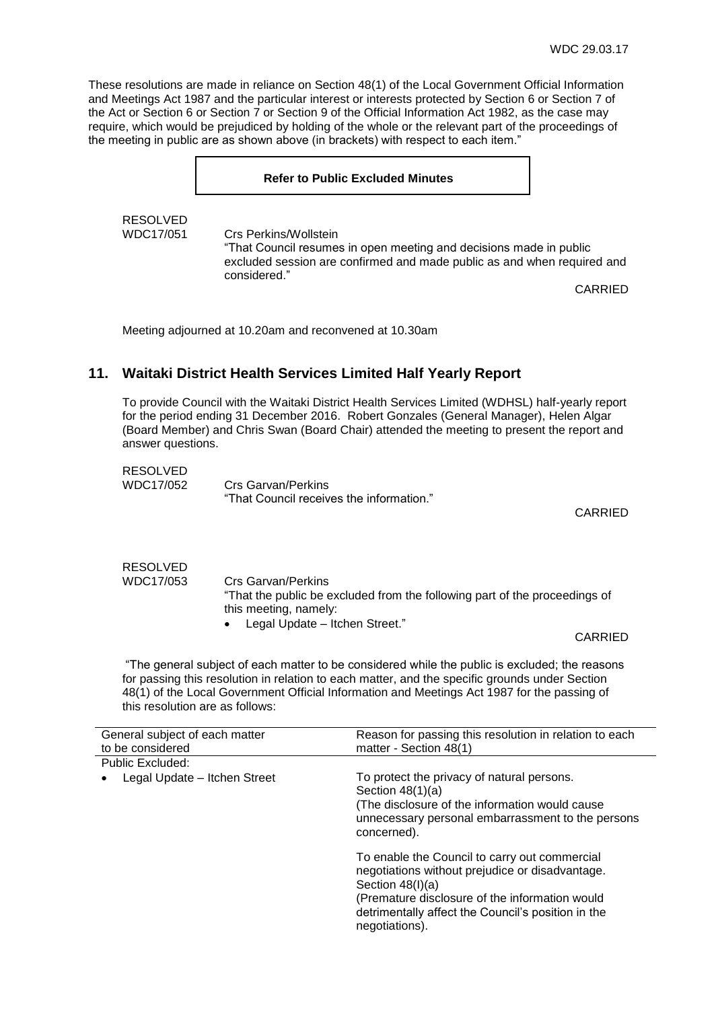These resolutions are made in reliance on Section 48(1) of the Local Government Official Information and Meetings Act 1987 and the particular interest or interests protected by Section 6 or Section 7 of the Act or Section 6 or Section 7 or Section 9 of the Official Information Act 1982, as the case may require, which would be prejudiced by holding of the whole or the relevant part of the proceedings of the meeting in public are as shown above (in brackets) with respect to each item."

# **Refer to Public Excluded Minutes** RESOLVED WDC17/051 Crs Perkins/Wollstein "That Council resumes in open meeting and decisions made in public excluded session are confirmed and made public as and when required and considered." CARRIED

Meeting adjourned at 10.20am and reconvened at 10.30am

## **11. Waitaki District Health Services Limited Half Yearly Report**

To provide Council with the Waitaki District Health Services Limited (WDHSL) half-yearly report for the period ending 31 December 2016. Robert Gonzales (General Manager), Helen Algar (Board Member) and Chris Swan (Board Chair) attended the meeting to present the report and answer questions.

| <b>RESOLVED</b> |                                          |
|-----------------|------------------------------------------|
| WDC17/052       | Crs Garvan/Perkins                       |
|                 | "That Council receives the information." |

CARRIED

#### RESOLVED WDC17/053 Crs Garvan/Perkins "That the public be excluded from the following part of the proceedings of this meeting, namely: Legal Update – Itchen Street."

CARRIED

"The general subject of each matter to be considered while the public is excluded; the reasons for passing this resolution in relation to each matter, and the specific grounds under Section 48(1) of the Local Government Official Information and Meetings Act 1987 for the passing of this resolution are as follows:

|                                                                                                                                                                                                                                                                                                                                                                                                                                                                             | General subject of each matter<br>to be considered |  |
|-----------------------------------------------------------------------------------------------------------------------------------------------------------------------------------------------------------------------------------------------------------------------------------------------------------------------------------------------------------------------------------------------------------------------------------------------------------------------------|----------------------------------------------------|--|
|                                                                                                                                                                                                                                                                                                                                                                                                                                                                             | Public Excluded:                                   |  |
| To protect the privacy of natural persons.<br>Legal Update - Itchen Street<br>Section $48(1)(a)$<br>(The disclosure of the information would cause)<br>unnecessary personal embarrassment to the persons<br>concerned).<br>To enable the Council to carry out commercial<br>negotiations without prejudice or disadvantage.<br>Section $48(l)(a)$<br>(Premature disclosure of the information would<br>detrimentally affect the Council's position in the<br>negotiations). |                                                    |  |